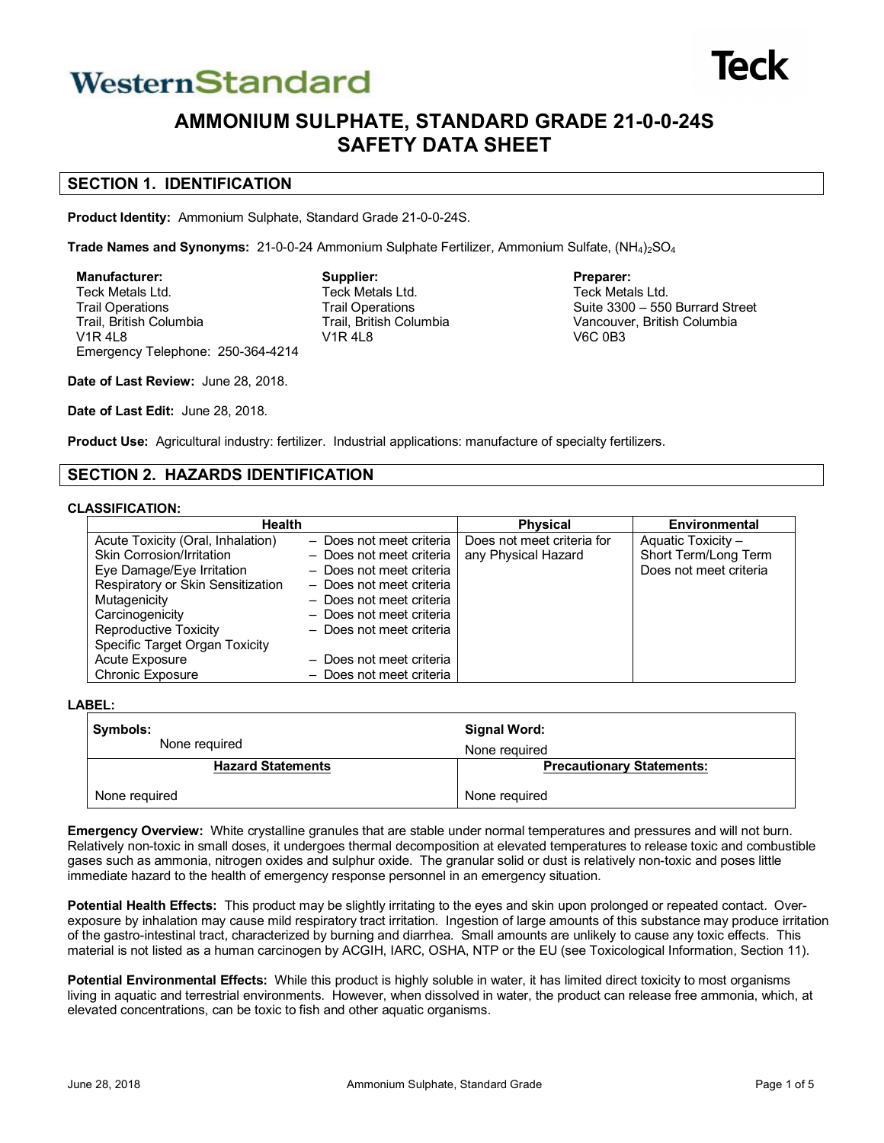# WesternStandard



## **AMMONIUM SULPHATE, STANDARD GRADE 21-0-0-24S SAFETY DATA SHEET**

**Preparer:** Teck Metals Ltd.

V6C 0B3

Suite 3300 – 550 Burrard Street Vancouver, British Columbia

## **SECTION 1. IDENTIFICATION**

**Product Identity:** Ammonium Sulphate, Standard Grade 21-0-0-24S.

**Trade Names and Synonyms:** 21-0-0-24 Ammonium Sulphate Fertilizer, Ammonium Sulfate, (NH<sub>4</sub>)<sub>2</sub>SO<sub>4</sub>

**Supplier:** Teck Metals Ltd. Trail Operations Trail, British Columbia

V1R 4L8

**Manufacturer:** Teck Metals Ltd. Trail Operations Trail, British Columbia V1R 4L8 Emergency Telephone: 250-364-4214

**Date of Last Review:** June 28, 2018.

**Date of Last Edit:** June 28, 2018.

**Product Use:** Agricultural industry: fertilizer. Industrial applications: manufacture of specialty fertilizers.

## **SECTION 2. HAZARDS IDENTIFICATION**

#### **CLASSIFICATION:**

| <b>Health</b>                     |                          | <b>Physical</b>            | Environmental          |
|-----------------------------------|--------------------------|----------------------------|------------------------|
| Acute Toxicity (Oral, Inhalation) | - Does not meet criteria | Does not meet criteria for | Aquatic Toxicity -     |
| Skin Corrosion/Irritation         | - Does not meet criteria | any Physical Hazard        | Short Term/Long Term   |
| Eye Damage/Eye Irritation         | - Does not meet criteria |                            | Does not meet criteria |
| Respiratory or Skin Sensitization | - Does not meet criteria |                            |                        |
| Mutagenicity                      | - Does not meet criteria |                            |                        |
| Carcinogenicity                   | - Does not meet criteria |                            |                        |
| <b>Reproductive Toxicity</b>      | - Does not meet criteria |                            |                        |
| Specific Target Organ Toxicity    |                          |                            |                        |
| Acute Exposure                    | - Does not meet criteria |                            |                        |
| <b>Chronic Exposure</b>           | - Does not meet criteria |                            |                        |

**LABEL:**

| Symbols:                 | Signal Word:                     |  |
|--------------------------|----------------------------------|--|
| None required            | None required                    |  |
| <b>Hazard Statements</b> | <b>Precautionary Statements:</b> |  |
| None required            | None required                    |  |

**Emergency Overview:** White crystalline granules that are stable under normal temperatures and pressures and will not burn. Relatively non-toxic in small doses, it undergoes thermal decomposition at elevated temperatures to release toxic and combustible gases such as ammonia, nitrogen oxides and sulphur oxide. The granular solid or dust is relatively non-toxic and poses little immediate hazard to the health of emergency response personnel in an emergency situation.

**Potential Health Effects:** This product may be slightly irritating to the eyes and skin upon prolonged or repeated contact. Overexposure by inhalation may cause mild respiratory tract irritation. Ingestion of large amounts of this substance may produce irritation of the gastro-intestinal tract, characterized by burning and diarrhea. Small amounts are unlikely to cause any toxic effects. This material is not listed as a human carcinogen by ACGIH, IARC, OSHA, NTP or the EU (see Toxicological Information, Section 11).

**Potential Environmental Effects:** While this product is highly soluble in water, it has limited direct toxicity to most organisms living in aquatic and terrestrial environments. However, when dissolved in water, the product can release free ammonia, which, at elevated concentrations, can be toxic to fish and other aquatic organisms.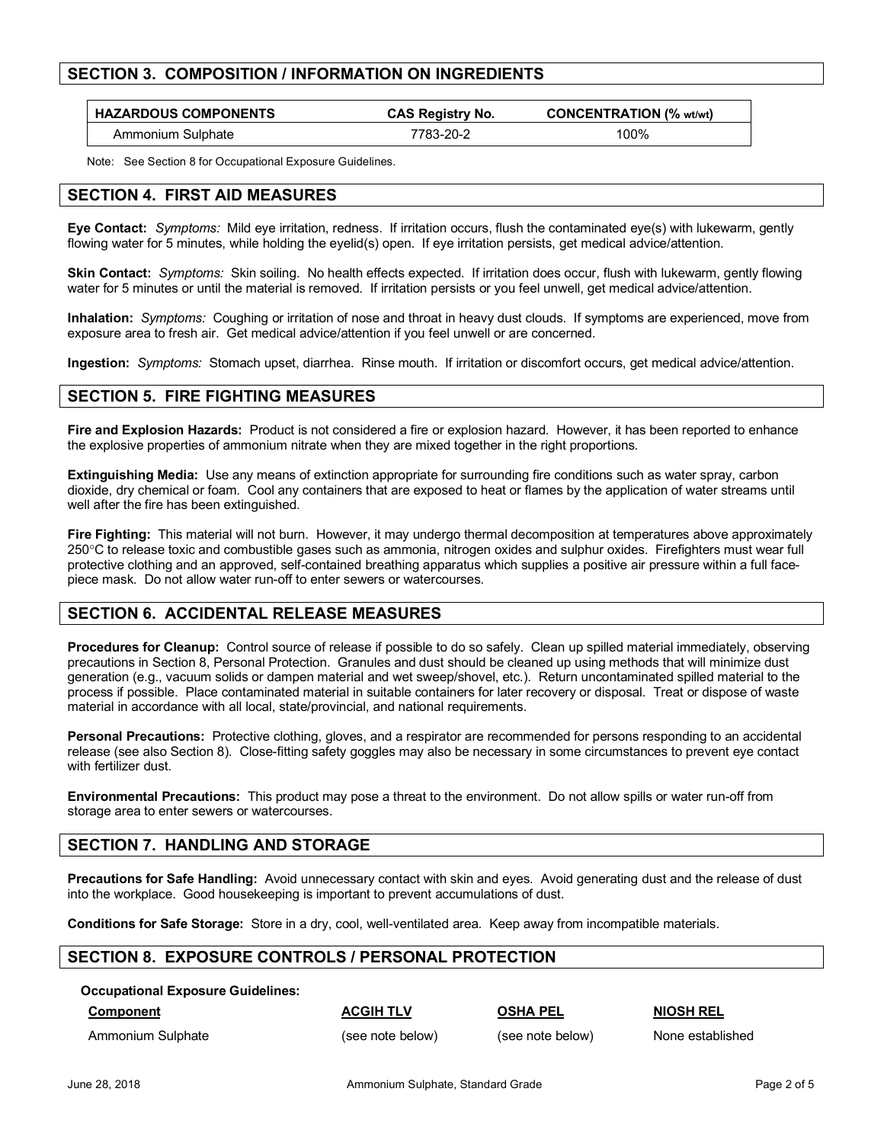#### **SECTION 3. COMPOSITION / INFORMATION ON INGREDIENTS**

| <b>HAZARDOUS COMPONENTS</b> | <b>CAS Registry No.</b> | <b>CONCENTRATION (% wt/wt)</b> |
|-----------------------------|-------------------------|--------------------------------|
| Ammonium Sulphate           | 7783-20-2               | 00%ا                           |

Note: See Section 8 for Occupational Exposure Guidelines.

#### **SECTION 4. FIRST AID MEASURES**

**Eye Contact:** *Symptoms:* Mild eye irritation, redness. If irritation occurs, flush the contaminated eye(s) with lukewarm, gently flowing water for 5 minutes, while holding the eyelid(s) open. If eye irritation persists, get medical advice/attention.

**Skin Contact:** *Symptoms:* Skin soiling. No health effects expected. If irritation does occur, flush with lukewarm, gently flowing water for 5 minutes or until the material is removed. If irritation persists or you feel unwell, get medical advice/attention.

**Inhalation:** *Symptoms:* Coughing or irritation of nose and throat in heavy dust clouds. If symptoms are experienced, move from exposure area to fresh air. Get medical advice/attention if you feel unwell or are concerned.

**Ingestion:** *Symptoms:* Stomach upset, diarrhea. Rinse mouth. If irritation or discomfort occurs, get medical advice/attention.

#### **SECTION 5. FIRE FIGHTING MEASURES**

**Fire and Explosion Hazards:** Product is not considered a fire or explosion hazard. However, it has been reported to enhance the explosive properties of ammonium nitrate when they are mixed together in the right proportions.

**Extinguishing Media:** Use any means of extinction appropriate for surrounding fire conditions such as water spray, carbon dioxide, dry chemical or foam. Cool any containers that are exposed to heat or flames by the application of water streams until well after the fire has been extinguished.

**Fire Fighting:** This material will not burn. However, it may undergo thermal decomposition at temperatures above approximately 250°C to release toxic and combustible gases such as ammonia, nitrogen oxides and sulphur oxides. Firefighters must wear full protective clothing and an approved, self-contained breathing apparatus which supplies a positive air pressure within a full facepiece mask. Do not allow water run-off to enter sewers or watercourses.

#### **SECTION 6. ACCIDENTAL RELEASE MEASURES**

**Procedures for Cleanup:** Control source of release if possible to do so safely. Clean up spilled material immediately, observing precautions in Section 8, Personal Protection. Granules and dust should be cleaned up using methods that will minimize dust generation (e.g., vacuum solids or dampen material and wet sweep/shovel, etc.). Return uncontaminated spilled material to the process if possible. Place contaminated material in suitable containers for later recovery or disposal. Treat or dispose of waste material in accordance with all local, state/provincial, and national requirements.

**Personal Precautions:** Protective clothing, gloves, and a respirator are recommended for persons responding to an accidental release (see also Section 8). Close-fitting safety goggles may also be necessary in some circumstances to prevent eye contact with fertilizer dust.

**Environmental Precautions:** This product may pose a threat to the environment. Do not allow spills or water run-off from storage area to enter sewers or watercourses.

## **SECTION 7. HANDLING AND STORAGE**

**Precautions for Safe Handling:** Avoid unnecessary contact with skin and eyes. Avoid generating dust and the release of dust into the workplace. Good housekeeping is important to prevent accumulations of dust.

**Conditions for Safe Storage:** Store in a dry, cool, well-ventilated area. Keep away from incompatible materials.

#### **SECTION 8. EXPOSURE CONTROLS / PERSONAL PROTECTION**

#### **Occupational Exposure Guidelines:**

Ammonium Sulphate (see note below) (see note below) (see note below) None established

**Component ACGIH TLV OSHA PEL NIOSH REL**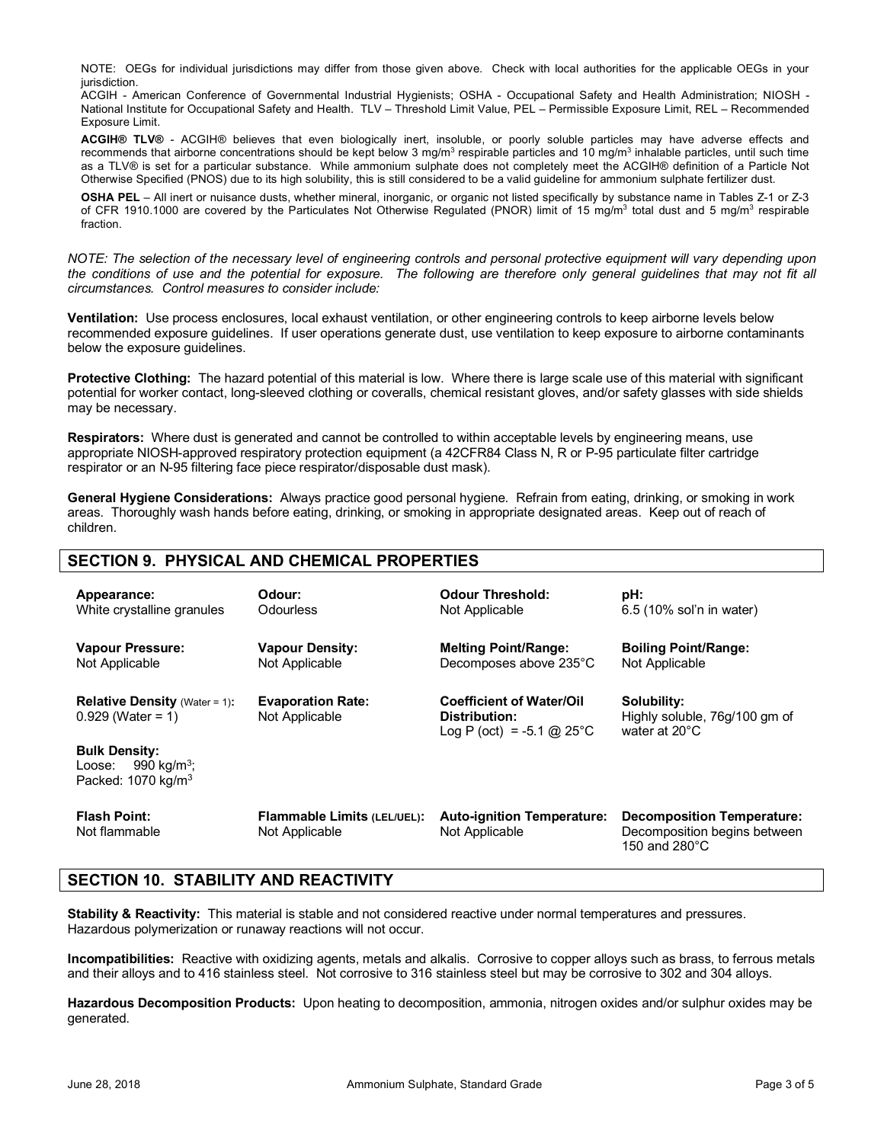NOTE: OEGs for individual jurisdictions may differ from those given above. Check with local authorities for the applicable OEGs in your jurisdiction.

ACGIH - American Conference of Governmental Industrial Hygienists; OSHA - Occupational Safety and Health Administration; NIOSH - National Institute for Occupational Safety and Health. TLV – Threshold Limit Value, PEL – Permissible Exposure Limit, REL – Recommended Exposure Limit.

**ACGIH® TLV®** - ACGIH® believes that even biologically inert, insoluble, or poorly soluble particles may have adverse effects and recommends that airborne concentrations should be kept below 3 mg/m<sup>3</sup> respirable particles and 10 mg/m<sup>3</sup> inhalable particles, until such time as a TLV® is set for a particular substance. While ammonium sulphate does not completely meet the ACGIH® definition of a Particle Not Otherwise Specified (PNOS) due to its high solubility, this is still considered to be a valid guideline for ammonium sulphate fertilizer dust.

**OSHA PEL** – All inert or nuisance dusts, whether mineral, inorganic, or organic not listed specifically by substance name in Tables Z-1 or Z-3 of CFR 1910.1000 are covered by the Particulates Not Otherwise Regulated (PNOR) limit of 15 mg/m<sup>3</sup> total dust and 5 mg/m<sup>3</sup> respirable fraction.

*NOTE: The selection of the necessary level of engineering controls and personal protective equipment will vary depending upon the conditions of use and the potential for exposure. The following are therefore only general guidelines that may not fit all circumstances. Control measures to consider include:*

**Ventilation:** Use process enclosures, local exhaust ventilation, or other engineering controls to keep airborne levels below recommended exposure guidelines. If user operations generate dust, use ventilation to keep exposure to airborne contaminants below the exposure guidelines.

**Protective Clothing:** The hazard potential of this material is low. Where there is large scale use of this material with significant potential for worker contact, long-sleeved clothing or coveralls, chemical resistant gloves, and/or safety glasses with side shields may be necessary.

**Respirators:** Where dust is generated and cannot be controlled to within acceptable levels by engineering means, use appropriate NIOSH-approved respiratory protection equipment (a 42CFR84 Class N, R or P-95 particulate filter cartridge respirator or an N-95 filtering face piece respirator/disposable dust mask).

**General Hygiene Considerations:** Always practice good personal hygiene. Refrain from eating, drinking, or smoking in work areas. Thoroughly wash hands before eating, drinking, or smoking in appropriate designated areas. Keep out of reach of children.

## **SECTION 9. PHYSICAL AND CHEMICAL PROPERTIES**

| Appearance:                                                                                                                                                  | Odour:                                        | Odour Threshold:                                                                | pH:                                                                                          |
|--------------------------------------------------------------------------------------------------------------------------------------------------------------|-----------------------------------------------|---------------------------------------------------------------------------------|----------------------------------------------------------------------------------------------|
| White crystalline granules                                                                                                                                   | Odourless                                     | Not Applicable                                                                  | 6.5 (10% sol'n in water)                                                                     |
| <b>Vapour Pressure:</b>                                                                                                                                      | <b>Vapour Density:</b>                        | <b>Melting Point/Range:</b>                                                     | <b>Boiling Point/Range:</b>                                                                  |
| Not Applicable                                                                                                                                               | Not Applicable                                | Decomposes above 235°C                                                          | Not Applicable                                                                               |
| <b>Relative Density</b> (Water = 1):<br>$0.929$ (Water = 1)<br><b>Bulk Density:</b><br>990 kg/m <sup>3</sup> ;<br>Loose:<br>Packed: $1070$ kg/m <sup>3</sup> | <b>Evaporation Rate:</b><br>Not Applicable    | <b>Coefficient of Water/Oil</b><br>Distribution:<br>Log P (oct) = $-5.1$ @ 25°C | Solubility:<br>Highly soluble, 76g/100 gm of<br>water at $20^{\circ}$ C                      |
| <b>Flash Point:</b><br>Not flammable                                                                                                                         | Flammable Limits (LEL/UEL):<br>Not Applicable | <b>Auto-ignition Temperature:</b><br>Not Applicable                             | <b>Decomposition Temperature:</b><br>Decomposition begins between<br>150 and $280^{\circ}$ C |

## **SECTION 10. STABILITY AND REACTIVITY**

**Stability & Reactivity:** This material is stable and not considered reactive under normal temperatures and pressures. Hazardous polymerization or runaway reactions will not occur.

**Incompatibilities:** Reactive with oxidizing agents, metals and alkalis. Corrosive to copper alloys such as brass, to ferrous metals and their alloys and to 416 stainless steel. Not corrosive to 316 stainless steel but may be corrosive to 302 and 304 alloys.

**Hazardous Decomposition Products:** Upon heating to decomposition, ammonia, nitrogen oxides and/or sulphur oxides may be generated.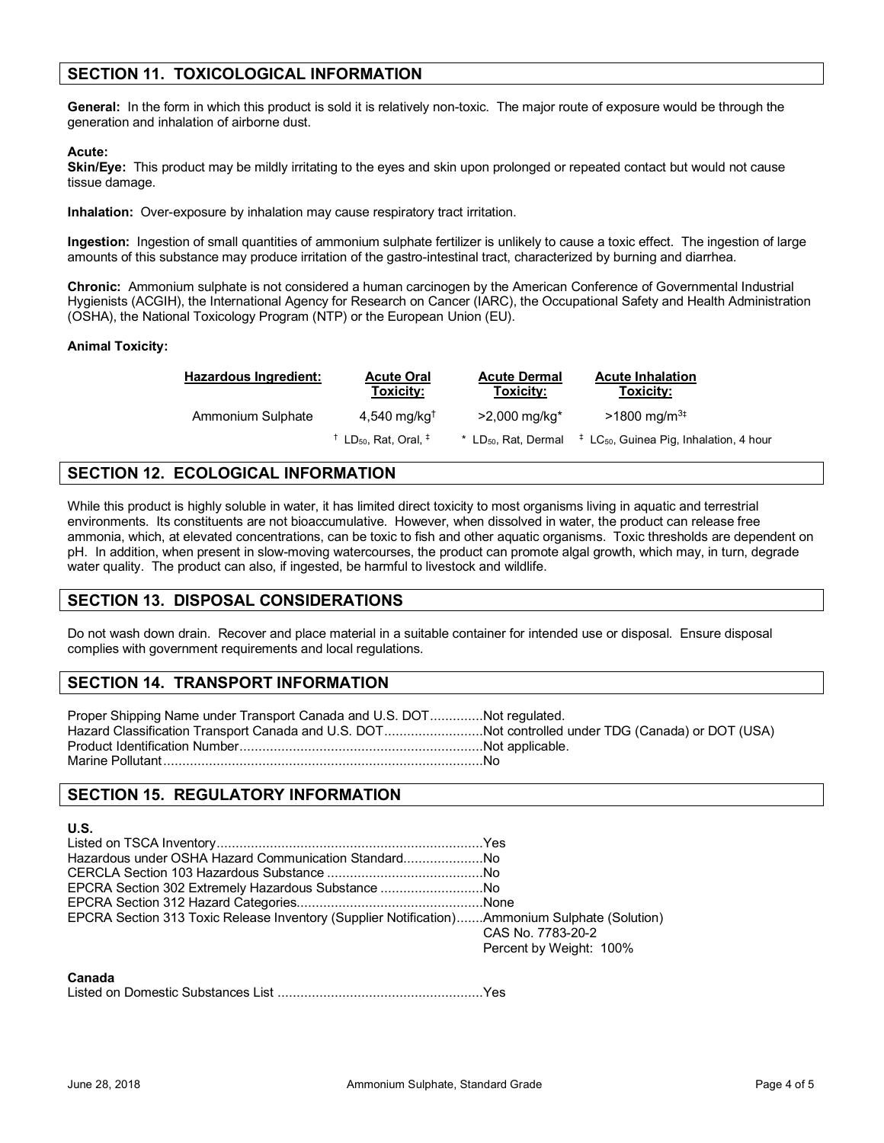## **SECTION 11. TOXICOLOGICAL INFORMATION**

**General:** In the form in which this product is sold it is relatively non-toxic. The major route of exposure would be through the generation and inhalation of airborne dust.

#### **Acute:**

Skin/Eye: This product may be mildly irritating to the eyes and skin upon prolonged or repeated contact but would not cause tissue damage.

**Inhalation:** Over-exposure by inhalation may cause respiratory tract irritation.

**Ingestion:** Ingestion of small quantities of ammonium sulphate fertilizer is unlikely to cause a toxic effect. The ingestion of large amounts of this substance may produce irritation of the gastro-intestinal tract, characterized by burning and diarrhea.

**Chronic:** Ammonium sulphate is not considered a human carcinogen by the American Conference of Governmental Industrial Hygienists (ACGIH), the International Agency for Research on Cancer (IARC), the Occupational Safety and Health Administration (OSHA), the National Toxicology Program (NTP) or the European Union (EU).

#### **Animal Toxicity:**

| <b>Hazardous Ingredient:</b> | <b>Acute Oral</b><br>Toxicity:                           | <b>Acute Dermal</b><br>Toxicity:   | <b>Acute Inhalation</b><br>Toxicity:                         |
|------------------------------|----------------------------------------------------------|------------------------------------|--------------------------------------------------------------|
| Ammonium Sulphate            | $4,540$ mg/kg <sup>t</sup>                               | $>2,000 \text{ mq/kg}^*$           | $>1800 \text{ mg/m}^{3+}$                                    |
|                              | $^{\dagger}$ LD <sub>50</sub> , Rat, Oral, $^{\ddagger}$ | $*$ LD <sub>50</sub> , Rat, Dermal | $\ddagger$ LC <sub>50</sub> , Guinea Pig, Inhalation, 4 hour |

## **SECTION 12. ECOLOGICAL INFORMATION**

While this product is highly soluble in water, it has limited direct toxicity to most organisms living in aquatic and terrestrial environments. Its constituents are not bioaccumulative. However, when dissolved in water, the product can release free ammonia, which, at elevated concentrations, can be toxic to fish and other aquatic organisms. Toxic thresholds are dependent on pH. In addition, when present in slow-moving watercourses, the product can promote algal growth, which may, in turn, degrade water quality. The product can also, if ingested, be harmful to livestock and wildlife.

#### **SECTION 13. DISPOSAL CONSIDERATIONS**

Do not wash down drain. Recover and place material in a suitable container for intended use or disposal. Ensure disposal complies with government requirements and local regulations.

## **SECTION 14. TRANSPORT INFORMATION**

Proper Shipping Name under Transport Canada and U.S. DOT..............Not regulated. Hazard Classification Transport Canada and U.S. DOT..........................Not controlled under TDG (Canada) or DOT (USA) Product Identification Number................................................................Not applicable. Marine Pollutant....................................................................................No

#### **SECTION 15. REGULATORY INFORMATION**

#### **U.S.**

| EPCRA Section 302 Extremely Hazardous Substance No                                            |                                              |
|-----------------------------------------------------------------------------------------------|----------------------------------------------|
|                                                                                               |                                              |
| EPCRA Section 313 Toxic Release Inventory (Supplier Notification)Ammonium Sulphate (Solution) | CAS No. 7783-20-2<br>Percent by Weight: 100% |

#### **Canada**

Listed on Domestic Substances List ......................................................Yes